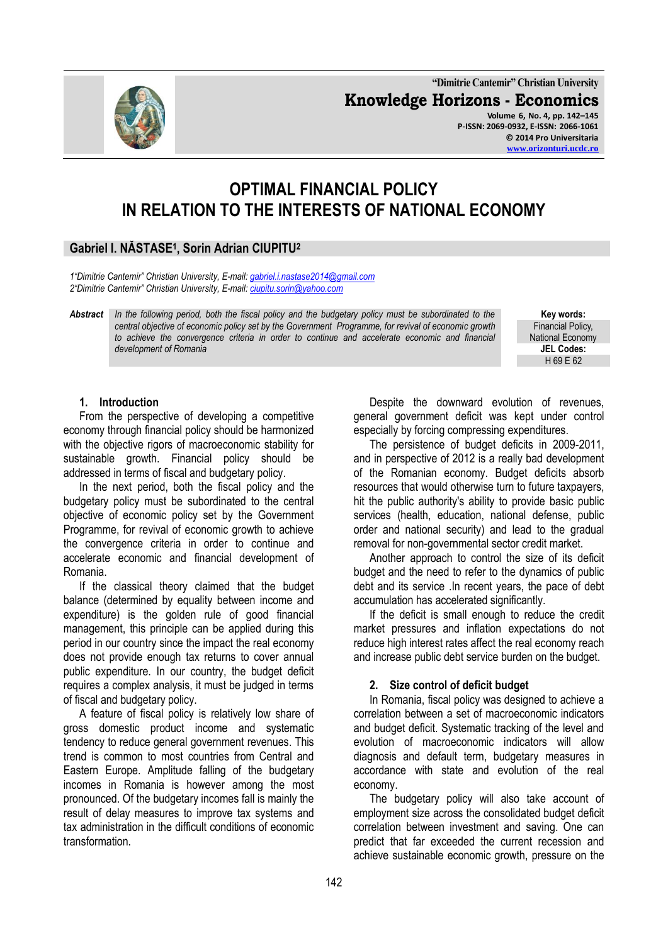**"Dimitrie Cantemir" Christian University Knowledge Horizons - Economics Volume 6, No. 4, pp. 142–145 P-ISSN: 2069-0932, E-ISSN: 2066-1061 © 2014 Pro Universitaria**





# **OPTIMAL FINANCIAL POLICY IN RELATION TO THE INTERESTS OF NATIONAL ECONOMY**

# **Gabriel I. NĂSTASE<sup>1</sup> , Sorin Adrian CIUPITU<sup>2</sup>**

*1"Dimitrie Cantemir" Christian University, E-mail: [gabriel.i.nastase2014@gmail.com](mailto:gabriel.i.nastase2014@gmail.com) 2"Dimitrie Cantemir" Christian University, E-mail: [ciupitu.sorin@yahoo.com](mailto:ciupitu.sorin@yahoo.com)*

*Abstract In the following period, both the fiscal policy and the budgetary policy must be subordinated to the central objective of economic policy set by the Government Programme, for revival of economic growth to achieve the convergence criteria in order to continue and accelerate economic and financial development of Romania*

**Key words:** Financial Policy, National Economy **JEL Codes:** H 69 E 62

#### **1. Introduction**

From the perspective of developing a competitive economy through financial policy should be harmonized with the objective rigors of macroeconomic stability for sustainable growth. Financial policy should be addressed in terms of fiscal and budgetary policy.

In the next period, both the fiscal policy and the budgetary policy must be subordinated to the central objective of economic policy set by the Government Programme, for revival of economic growth to achieve the convergence criteria in order to continue and accelerate economic and financial development of Romania.

If the classical theory claimed that the budget balance (determined by equality between income and expenditure) is the golden rule of good financial management, this principle can be applied during this period in our country since the impact the real economy does not provide enough tax returns to cover annual public expenditure. In our country, the budget deficit requires a complex analysis, it must be judged in terms of fiscal and budgetary policy.

A feature of fiscal policy is relatively low share of gross domestic product income and systematic tendency to reduce general government revenues. This trend is common to most countries from Central and Eastern Europe. Amplitude falling of the budgetary incomes in Romania is however among the most pronounced. Of the budgetary incomes fall is mainly the result of delay measures to improve tax systems and tax administration in the difficult conditions of economic transformation.

Despite the downward evolution of revenues, general government deficit was kept under control especially by forcing compressing expenditures.

The persistence of budget deficits in 2009-2011, and in perspective of 2012 is a really bad development of the Romanian economy. Budget deficits absorb resources that would otherwise turn to future taxpayers, hit the public authority's ability to provide basic public services (health, education, national defense, public order and national security) and lead to the gradual removal for non-governmental sector credit market.

Another approach to control the size of its deficit budget and the need to refer to the dynamics of public debt and its service .In recent years, the pace of debt accumulation has accelerated significantly.

If the deficit is small enough to reduce the credit market pressures and inflation expectations do not reduce high interest rates affect the real economy reach and increase public debt service burden on the budget.

# **2. Size control of deficit budget**

In Romania, fiscal policy was designed to achieve a correlation between a set of macroeconomic indicators and budget deficit. Systematic tracking of the level and evolution of macroeconomic indicators will allow diagnosis and default term, budgetary measures in accordance with state and evolution of the real economy.

The budgetary policy will also take account of employment size across the consolidated budget deficit correlation between investment and saving. One can predict that far exceeded the current recession and achieve sustainable economic growth, pressure on the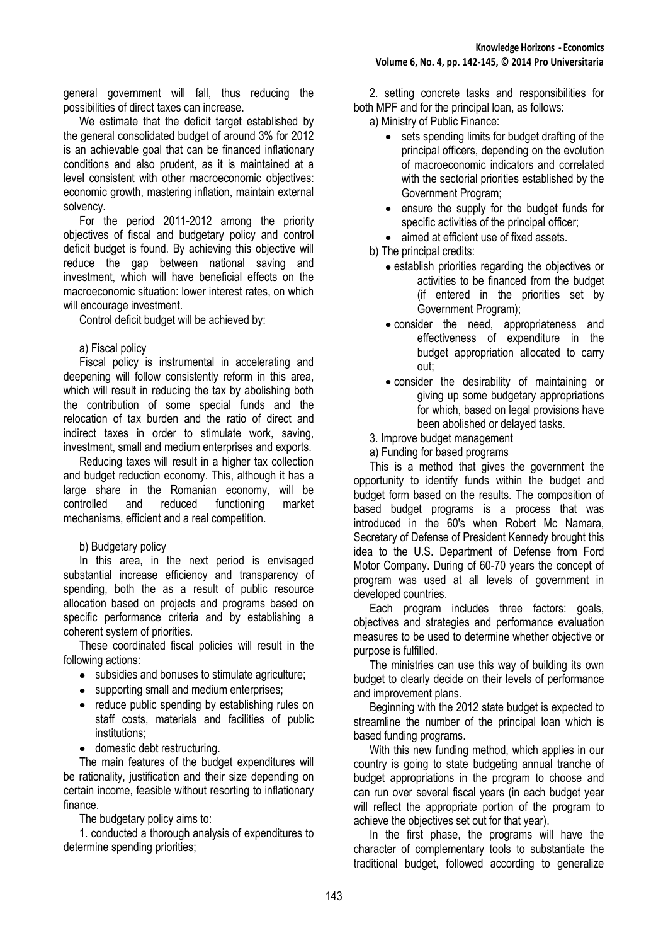general government will fall, thus reducing the possibilities of direct taxes can increase.

We estimate that the deficit target established by the general consolidated budget of around 3% for 2012 is an achievable goal that can be financed inflationary conditions and also prudent, as it is maintained at a level consistent with other macroeconomic objectives: economic growth, mastering inflation, maintain external solvency.

For the period 2011-2012 among the priority objectives of fiscal and budgetary policy and control deficit budget is found. By achieving this objective will reduce the gap between national saving and investment, which will have beneficial effects on the macroeconomic situation: lower interest rates, on which will encourage investment.

Control deficit budget will be achieved by:

#### a) Fiscal policy

Fiscal policy is instrumental in accelerating and deepening will follow consistently reform in this area, which will result in reducing the tax by abolishing both the contribution of some special funds and the relocation of tax burden and the ratio of direct and indirect taxes in order to stimulate work, saving, investment, small and medium enterprises and exports.

Reducing taxes will result in a higher tax collection and budget reduction economy. This, although it has a large share in the Romanian economy, will be controlled and reduced functioning market mechanisms, efficient and a real competition.

# b) Budgetary policy

In this area, in the next period is envisaged substantial increase efficiency and transparency of spending, both the as a result of public resource allocation based on projects and programs based on specific performance criteria and by establishing a coherent system of priorities.

These coordinated fiscal policies will result in the following actions:

- subsidies and bonuses to stimulate agriculture;
- supporting small and medium enterprises;
- reduce public spending by establishing rules on staff costs, materials and facilities of public institutions;
- domestic debt restructuring.

The main features of the budget expenditures will be rationality, justification and their size depending on certain income, feasible without resorting to inflationary finance.

The budgetary policy aims to:

1. conducted a thorough analysis of expenditures to determine spending priorities;

2. setting concrete tasks and responsibilities for both MPF and for the principal loan, as follows:

a) Ministry of Public Finance:

- sets spending limits for budget drafting of the principal officers, depending on the evolution of macroeconomic indicators and correlated with the sectorial priorities established by the Government Program;
- ensure the supply for the budget funds for specific activities of the principal officer;
- aimed at efficient use of fixed assets.
- b) The principal credits:
	- establish priorities regarding the objectives or activities to be financed from the budget (if entered in the priorities set by Government Program);
	- consider the need, appropriateness and effectiveness of expenditure in the budget appropriation allocated to carry out;
	- consider the desirability of maintaining or giving up some budgetary appropriations for which, based on legal provisions have been abolished or delayed tasks.
- 3. Improve budget management
- a) Funding for based programs

This is a method that gives the government the opportunity to identify funds within the budget and budget form based on the results. The composition of based budget programs is a process that was introduced in the 60's when Robert Mc Namara, Secretary of Defense of President Kennedy brought this idea to the U.S. Department of Defense from Ford Motor Company. During of 60-70 years the concept of program was used at all levels of government in developed countries.

Each program includes three factors: goals, objectives and strategies and performance evaluation measures to be used to determine whether objective or purpose is fulfilled.

The ministries can use this way of building its own budget to clearly decide on their levels of performance and improvement plans.

Beginning with the 2012 state budget is expected to streamline the number of the principal loan which is based funding programs.

With this new funding method, which applies in our country is going to state budgeting annual tranche of budget appropriations in the program to choose and can run over several fiscal years (in each budget year will reflect the appropriate portion of the program to achieve the objectives set out for that year).

In the first phase, the programs will have the character of complementary tools to substantiate the traditional budget, followed according to generalize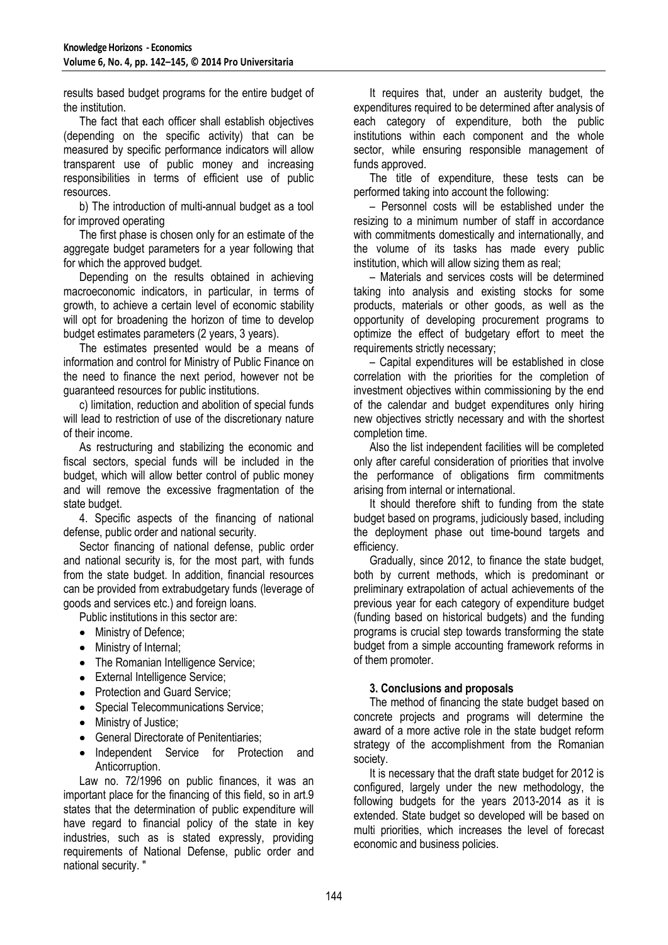results based budget programs for the entire budget of the institution.

The fact that each officer shall establish objectives (depending on the specific activity) that can be measured by specific performance indicators will allow transparent use of public money and increasing responsibilities in terms of efficient use of public resources.

b) The introduction of multi-annual budget as a tool for improved operating

The first phase is chosen only for an estimate of the aggregate budget parameters for a year following that for which the approved budget.

Depending on the results obtained in achieving macroeconomic indicators, in particular, in terms of growth, to achieve a certain level of economic stability will opt for broadening the horizon of time to develop budget estimates parameters (2 years, 3 years).

The estimates presented would be a means of information and control for Ministry of Public Finance on the need to finance the next period, however not be guaranteed resources for public institutions.

c) limitation, reduction and abolition of special funds will lead to restriction of use of the discretionary nature of their income.

As restructuring and stabilizing the economic and fiscal sectors, special funds will be included in the budget, which will allow better control of public money and will remove the excessive fragmentation of the state budget.

4. Specific aspects of the financing of national defense, public order and national security.

Sector financing of national defense, public order and national security is, for the most part, with funds from the state budget. In addition, financial resources can be provided from extrabudgetary funds (leverage of goods and services etc.) and foreign loans.

Public institutions in this sector are:

- Ministry of Defence;
- Ministry of Internal;
- The Romanian Intelligence Service;
- External Intelligence Service;
- Protection and Guard Service;
- Special Telecommunications Service;
- Ministry of Justice;  $\bullet$
- $\bullet$ General Directorate of Penitentiaries;
- Independent Service for Protection and Anticorruption.

Law no. 72/1996 on public finances, it was an important place for the financing of this field, so in art.9 states that the determination of public expenditure will have regard to financial policy of the state in key industries, such as is stated expressly, providing requirements of National Defense, public order and national security. "

It requires that, under an austerity budget, the expenditures required to be determined after analysis of each category of expenditure, both the public institutions within each component and the whole sector, while ensuring responsible management of funds approved.

The title of expenditure, these tests can be performed taking into account the following:

– Personnel costs will be established under the resizing to a minimum number of staff in accordance with commitments domestically and internationally, and the volume of its tasks has made every public institution, which will allow sizing them as real;

– Materials and services costs will be determined taking into analysis and existing stocks for some products, materials or other goods, as well as the opportunity of developing procurement programs to optimize the effect of budgetary effort to meet the requirements strictly necessary;

– Capital expenditures will be established in close correlation with the priorities for the completion of investment objectives within commissioning by the end of the calendar and budget expenditures only hiring new objectives strictly necessary and with the shortest completion time.

Also the list independent facilities will be completed only after careful consideration of priorities that involve the performance of obligations firm commitments arising from internal or international.

It should therefore shift to funding from the state budget based on programs, judiciously based, including the deployment phase out time-bound targets and efficiency.

Gradually, since 2012, to finance the state budget, both by current methods, which is predominant or preliminary extrapolation of actual achievements of the previous year for each category of expenditure budget (funding based on historical budgets) and the funding programs is crucial step towards transforming the state budget from a simple accounting framework reforms in of them promoter.

# **3. Conclusions and proposals**

The method of financing the state budget based on concrete projects and programs will determine the award of a more active role in the state budget reform strategy of the accomplishment from the Romanian society.

It is necessary that the draft state budget for 2012 is configured, largely under the new methodology, the following budgets for the years 2013-2014 as it is extended. State budget so developed will be based on multi priorities, which increases the level of forecast economic and business policies.